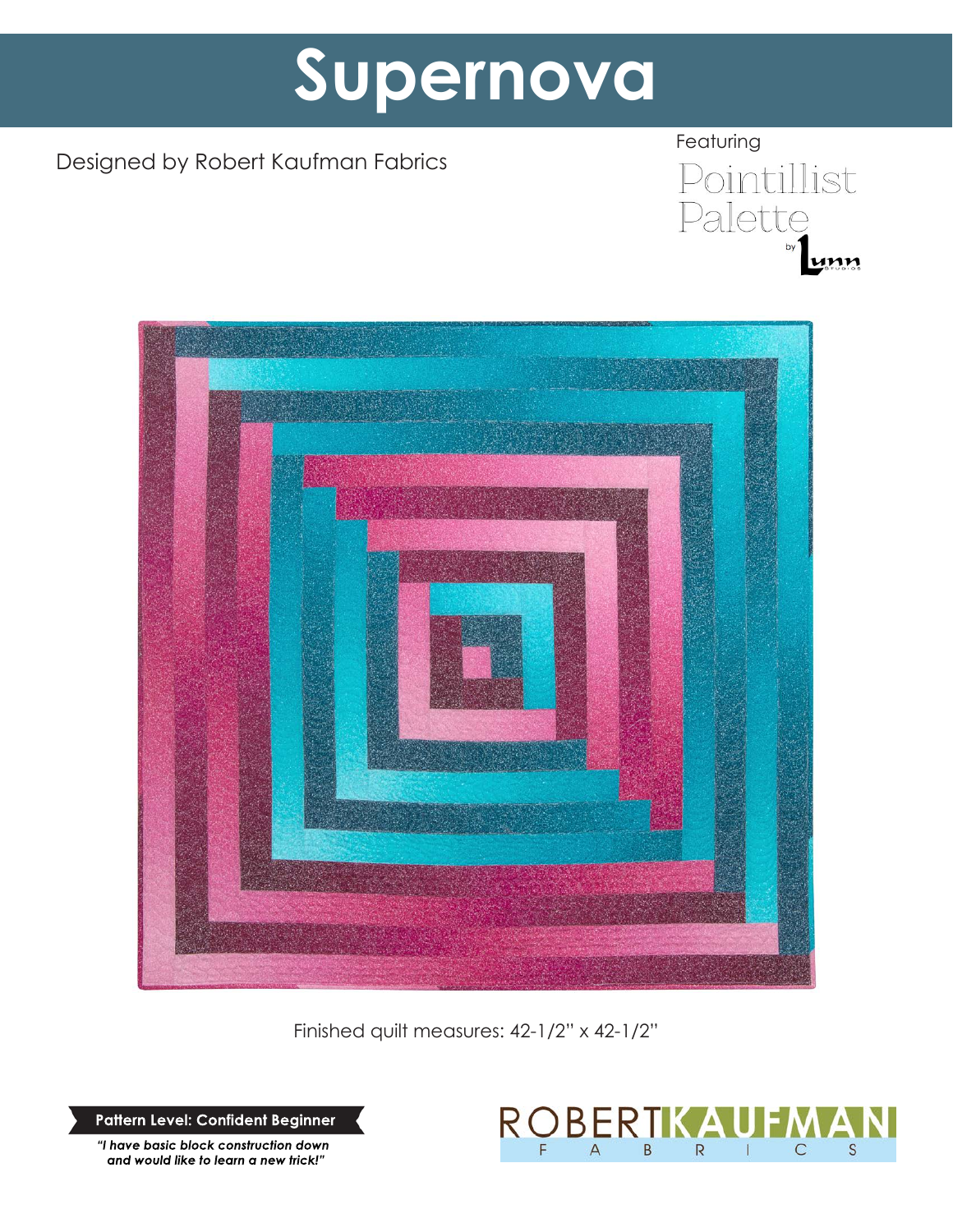# **Supernova**

# Designed by Robert Kaufman Fabrics





Finished quilt measures: 42-1/2" x 42-1/2"

**Pattern Level: Confident Beginner**

*"I have basic block construction down and would like to learn a new trick!"*

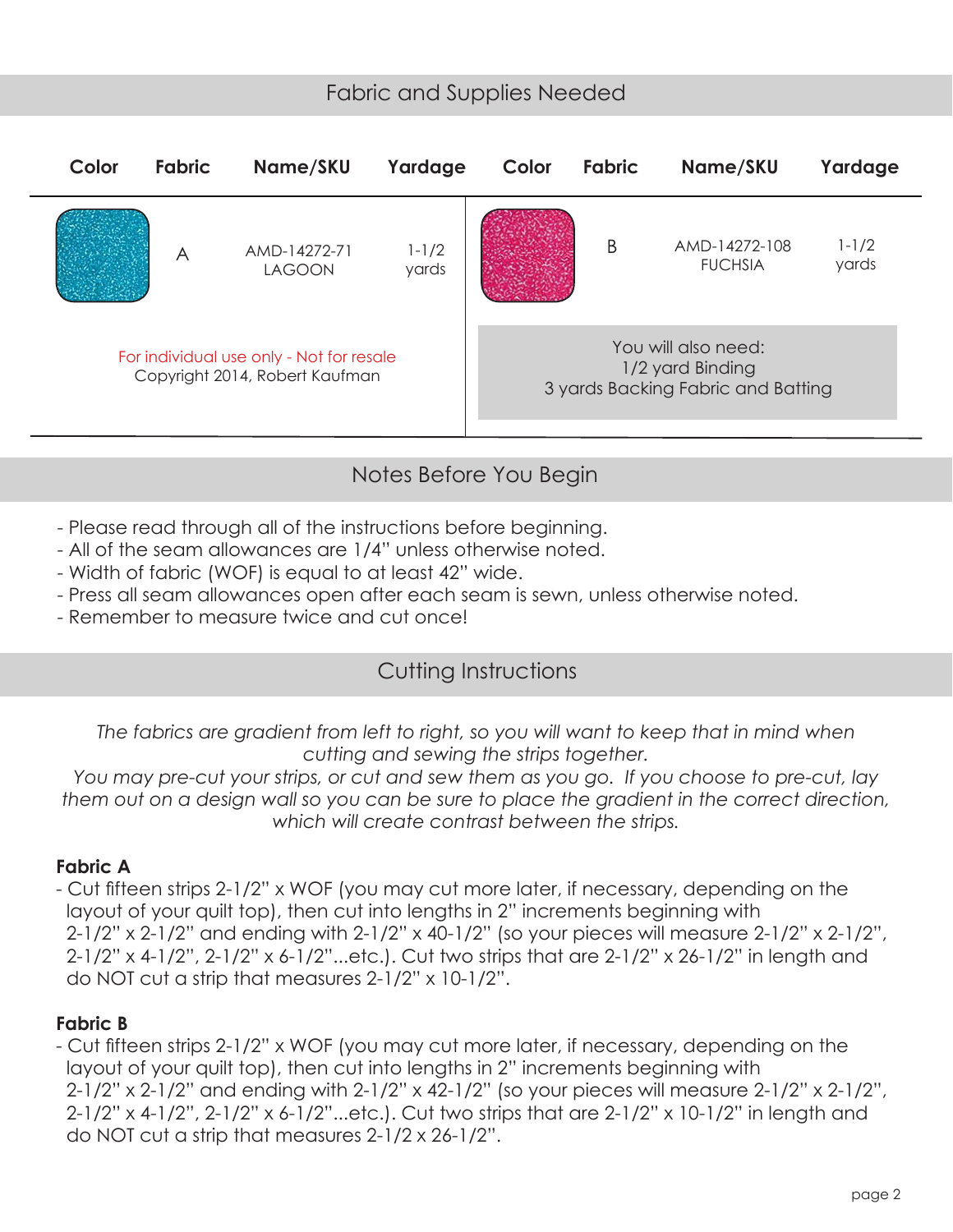### Fabric and Supplies Needed



## Notes Before You Begin

- Please read through all of the instructions before beginning.
- All of the seam allowances are 1/4" unless otherwise noted.
- Width of fabric (WOF) is equal to at least 42" wide.
- Press all seam allowances open after each seam is sewn, unless otherwise noted.
- Remember to measure twice and cut once!

#### Cutting Instructions

*The fabrics are gradient from left to right, so you will want to keep that in mind when cutting and sewing the strips together.* 

*You may pre-cut your strips, or cut and sew them as you go. If you choose to pre-cut, lay them out on a design wall so you can be sure to place the gradient in the correct direction, which will create contrast between the strips.*

#### **Fabric A**

- Cut fifteen strips 2-1/2" x WOF (you may cut more later, if necessary, depending on the layout of your quilt top), then cut into lengths in 2" increments beginning with 2-1/2" x 2-1/2" and ending with 2-1/2" x 40-1/2" (so your pieces will measure 2-1/2" x 2-1/2", 2-1/2" x 4-1/2", 2-1/2" x 6-1/2"...etc.). Cut two strips that are 2-1/2" x 26-1/2" in length and do NOT cut a strip that measures 2-1/2" x 10-1/2".

#### **Fabric B**

- Cut fifteen strips 2-1/2" x WOF (you may cut more later, if necessary, depending on the layout of your quilt top), then cut into lengths in 2" increments beginning with 2-1/2" x 2-1/2" and ending with 2-1/2" x 42-1/2" (so your pieces will measure 2-1/2" x 2-1/2", 2-1/2" x 4-1/2", 2-1/2" x 6-1/2"...etc.). Cut two strips that are 2-1/2" x 10-1/2" in length and do NOT cut a strip that measures 2-1/2 x 26-1/2".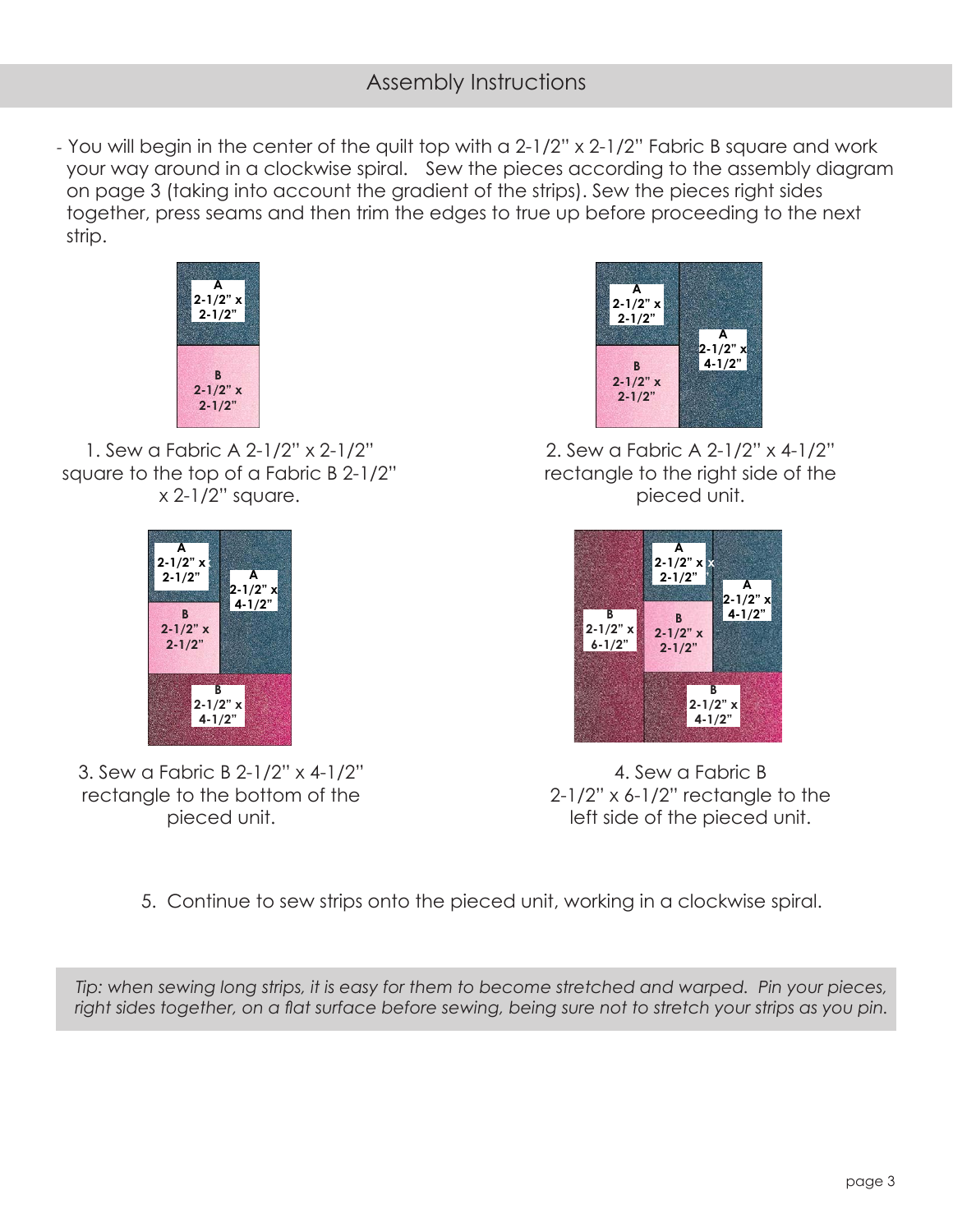- You will begin in the center of the quilt top with a 2-1/2" x 2-1/2" Fabric B square and work your way around in a clockwise spiral. Sew the pieces according to the assembly diagram on page 3 (taking into account the gradient of the strips). Sew the pieces right sides together, press seams and then trim the edges to true up before proceeding to the next strip.



1. Sew a Fabric A 2-1/2" x 2-1/2" square to the top of a Fabric B 2-1/2" x 2-1/2" square.



3. Sew a Fabric B 2-1/2" x 4-1/2" rectangle to the bottom of the pieced unit.



2. Sew a Fabric A 2-1/2" x 4-1/2" rectangle to the right side of the pieced unit.



4. Sew a Fabric B  $2-1/2$ " x 6-1/2" rectangle to the left side of the pieced unit.

5. Continue to sew strips onto the pieced unit, working in a clockwise spiral.

*Tip: when sewing long strips, it is easy for them to become stretched and warped. Pin your pieces, right sides together, on a flat surface before sewing, being sure not to stretch your strips as you pin.*